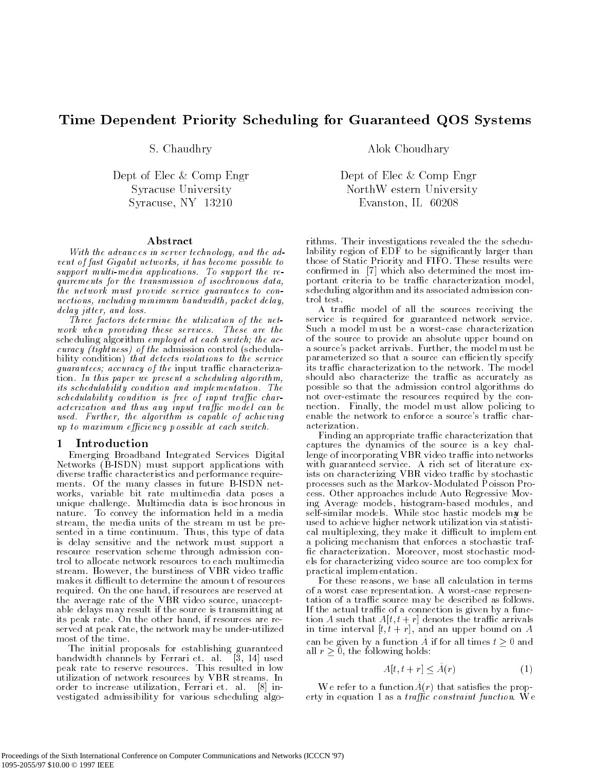# Time Dependent Priority Scheduling for Guaranteed QOS Systems

### Abstract

With the advanc es in server technology, and the advent of fast Gigabit networks, it has become possible to support multi-media applications. To support the requirements for the transmission of isochronous data, the network must provide service guarantees to connections, including minimum bandwidth, packet delay, delay jitter, and loss.

Three factors determine the utilization of the network when providing these services. These are the scheduling algorithm employed at each switch; the accuracy (tightness) of the admission control (schedula bility condition) that detects violations to the service guarantees; accuracy of the input traffic characterization. In this paper we present a scheduling algorithm, its schedulability condition and implementation. The schedulability condition is free of input traffic characterization and thus any input traffic model can be used. Further, the algorithm is capable of achieving up to maximum efficiency possible at each switch.

## 1 Introduction

Emerging Broadband Integrated Services Digital Networks (B-ISDN) must support applications with diverse traffic characteristics and performance requirements. Of the many classes in future B-ISDN networks, variable bit rate multimedia data poses a unique challenge. Multimedia data is isoc hronous in nature. To convey the information held in a media stream, the media units of the stream m ust be presented in a time continuum. Thus, this type of data is delay sensitive and the network must support a resource reservation scheme through admission control to allocate network resources to each multimedia stream. However, the burstiness of VBR video traffic makes it difficult to determine the amoun t of resources required. On the one hand, if resources are reserved at the average rate of the VBR video source, unacceptable delays may result if the source is transmitting at its peak rate. On the other hand, if resources are reserved at peak rate, the network may be under-utilized most of the time.

The initial proposals for establishing guaranteed bandwidth channels by Ferrari et. al. [3, 14] used peak rate to reserve resources. This resulted in low utilization of network resources by VBR streams. In order to increase utilization, Ferrari et. al. [8] investigated admissibility for various scheduling algo-

S. Chaudhry Alok Choudhary

Dept of Elec & Comp Engr Dept of Elec & Comp Engr Syracuse University NorthW estern University Syracuse, NY 13210 Evanston, IL 60208

> rithms. Their investigations revealed the the schedulability region of EDF to be significantly larger than those of Static Priority and FIFO. These results were confirmed in [7] which also determined the most important criteria to be traffic characterization model, scheduling algorithm and its associated admission control test.

> A traffic model of all the sources receiving the service is required for guaranteed network service. Such a model m ust be a worst-case characterization of the source to provide an absolute upper bound on a source's packet arrivals. Further, the model m ust be parameterized so that a source can efficiently specify its traffic characterization to the network. The model should also characterize the traffic as accurately as possible so that the admission control algorithms do not over-estimate the resources required by the connection. Finally, the model m ust allow policing to enable the network to enforce a source's traffic characterization.

> Finding an appropriate traffic characterization that captures the dynamics of the source is a key challenge of incorporating VBR video traffic into networks with guaranteed service. A rich set of literature exists on characterizing VBR video traffic by stochastic processes such as the Mark ov-Modulated P oisson Process. Other approaches include Auto Regressive Moving Average models, histogram-based modules, and self-similar models. While stoc hastic models may be used to achieve higher network utilization via statistical multiplexing, they make it difficult to implement a policing mechanism that enforces a stochastic traf c characterization. Moreo ver, most stochastic models for characterizing video source are too complex for practical implem entation.

For these reasons, we base all calculation in terms of a worst case representation. A worst-case representation of a traffic source may be described as follows. If the actual traffic of a connection is given by a function A such that  $A[t, t + r]$  denotes the traffic arrivals in time interval  $[t, t + r]$ , and an upper bound on A can be given by a function  $A$  if for all times  $t > 0$  and all  $r \geq 0$ , the following holds:

$$
A[t, t+r] \le \tilde{A}(r) \tag{1}
$$

We refer to a function  $A(r)$  that satisfies the property in equation 1 as a *traffic constraint function*. We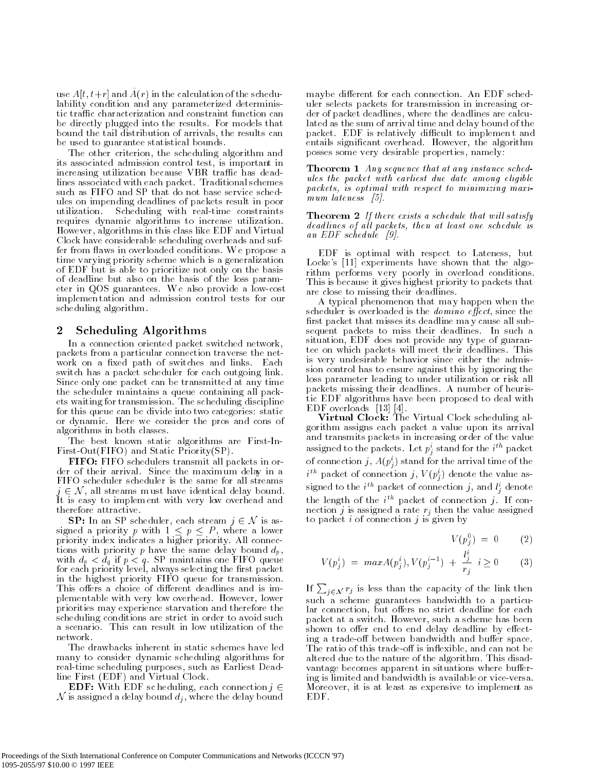use  $A(t, t+1)$  and  $A(t)$  in the calculation of the schedulability condition and any parameterized deterministic traffic characterization and constraint function can be directly plugged into the results. For models that bound the tail distribution of arrivals, the results can be used to guarantee statistical bounds.

The other criterion, the scheduling algorithm and its associated admission control test, is important in increasing utilization because VBR traffic has deadlines associated with each packet. Traditional schemes such as FIFO and SP that do not base service schedules on impending deadlines of packets result in poor utilization. Scheduling with real-time constraints requires dynamic algorithms to increase utilization. However, algorithms in this class like EDF and Virtual Clock have considerable scheduling overheads and suffer from flaws in overloaded conditions. We propose a time varying priority scheme which is a generalization of EDF but is able to prioritize not only on the basis of deadline but also on the basis of the loss parameter in QOS guarantees. W e also provide a low-cost implemen tation and admission control tests for our scheduling algorithm.

#### $\overline{2}$ Scheduling Algorithms

In a connection oriented packet switched network, packets from a particular connection traverse the network on a fixed path of switches and links. Each switch has a packet scheduler for each outgoing link. Since only one packet can be transmitted at any time the scheduler maintains a queue containing all packets waiting for transmission. The scheduling discipline for this queue can be divide into two categories: static or dynamic. Here we consider the pros and cons of algorithms in both classes.

The best known static algorithms are First-In-First-Out(FIFO) and Static Priority(SP).

FIFO: FIFO schedulers transmit all packets in order of their arrival. Since the maxim um delay in a **THEOTH O schedulers transmit an packets in order** of their arrival. Since the maximum delay in a FIFO scheduler scheduler is the same for all streams  $j \in \mathcal{N}$ , all streams must have identical delay bound. It is easy to implem ent with very low overhead and therefore attractive. Section 2 N, an streams mass have deduced delay bound<br>is easy to implement with very low overhead and<br>refore attractive.<br>SP: In an SP scheduler, each stream  $j \in \mathcal{N}$  is as-

signed a priority p with  $1 \le p \le P$ , where a lower priority index indicates a higher priority. All connections with priority p have the same delay bound  $d_p$ , with dp if  $\mathcal{D}$  and  $\mathcal{D}$  matrices on  $\mathcal{D}$  . See Fig. specific pairs on  $\mathcal{D}$ for each priority level, always selecting the rst packet in the highest priority FIFO queue for transmission. This offers a choice of different deadlines and is implementable with very low overhead. However, lower priorities may experience starvation and therefore the scheduling conditions are strict in order to avoid such a scenario. This can result in low utilization of the network.

The drawbacks inherent in static schemes have led many to consider dynamic scheduling algorithms for real-time scheduling purposes, such as Earliest Deadline First (EDF) and Virtual Clock.

**EDF:** With EDF sc heduling, each connection  $j \in$  ${\cal N}$  is assigned a delay bound  $d_i$  , where the delay bound

maybe different for each connection. An EDF scheduler selects packets for transmission in increasing order of packet deadlines, where the deadlines are calculated as the sum of arrival time and delay bound of the packet. EDF is relatively difficult to implement and entails signicant overhead. However, the algorithm posses some very desirable properties, namely:

**Theorem 1** Any sequence that at any instance schedules the packet with earliest due date among eligible packets, is optimal with respect to minimizing maximum lateness [5].

 $\blacksquare$  Theorem  $\blacksquare$   $\blacksquare$  is a set of the satisfy a set of the satisfy satisfy  $\blacksquare$ dead lines of al l packets, then at least one schedule is an EDF schedule [9].

EDF is optimal with respect to Lateness, but Locke's [11] experiments have shown that the algorithm performs very poorly in overload conditions. This is because it gives highest priority to packets that are close to missing their deadlines.

A typical phenomenon that ma y happen when the scheduler is overloaded is the *domino* effect, since the first packet that misses its deadline may cause all subsequent packets to miss their deadlines. In such a situation, EDF does not provide any type of guarantee on which packets will meet their deadlines. This is very undesirable behavior since either the admission control has to ensure against this by ignoring the loss parameter leading to under utilization or risk all packets missing their deadlines. A number of heuristic EDF algorithms have been proposed to deal with EDF overloads [13] [4].

Virtual Clock: The Virtual Clock scheduling algorithm assigns each packet a value upon its arrival and transmits packets in increasing order of the value assigned to the packets. Let pi <sup>j</sup> stand for the <sup>i</sup> th packet of connection  $j, A(p_i)$  stand for the arrival time of the  $\hspace{-.07cm}$  $i$  " packet of connection  $j, \, v \, (p_i)$  denote the value assigned to the  $i^{\ldots}$  packet of connection  $j$ , and  $i_j$  denote the length of the  $i$  packet of connection  $j$ . If connection j is assigned a rate  $r_i$  then the value assigned to packet  $i$  of connection  $j$  is given by

$$
V(p_i^0) = 0 \qquad (2)
$$

$$
V(p_j^i) = max A(p_j^i), V(p_j^{i-1}) + \frac{l_j^i}{r_j} \quad i \ge 0 \tag{3}
$$

If  $\sum_{i \in \mathcal{N}} r_i$  is less than the capacity of the link then such a scheme guarantees bandwidth to a particular connection, but offers no strict deadline for each packet at a switch. However, such a scheme has been shown to offer end to end delay deadline by effecting a trade-off between bandwidth and buffer space. The ratio of this trade-off is inflexible, and can not be altered due to the nature of the algorithm. This disadvantage becomes apparent in situations where buffering is limited and bandwidth is available or vice-versa. Moreo ver, it is at least as expensive to implement as EDF.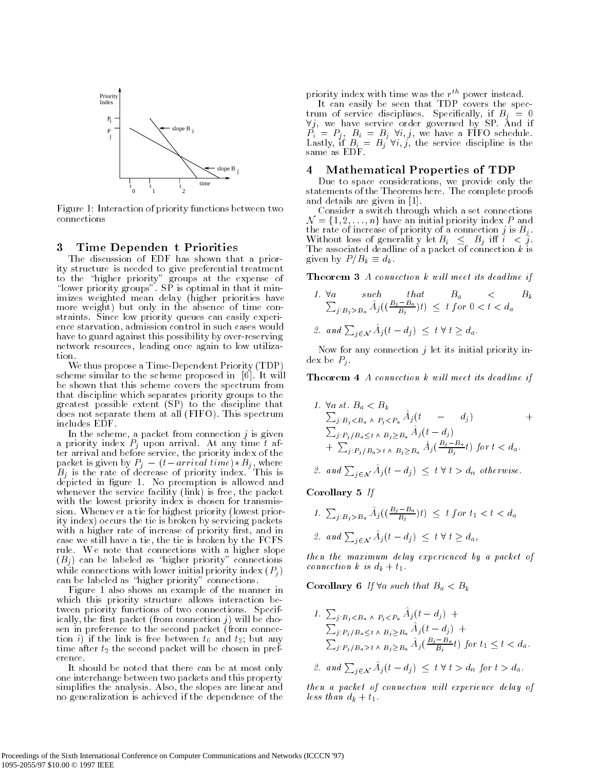

Figure 1: Interaction of priority functions between two connections

#### 3 Time Dependen t Priorities 3

The discussion of EDF has shown that a priority structure is needed to give preferential treatment to the total priority at the experimental priority  $\mathbf{g}$  at the expense of expense of expense of  $\mathbf{g}$ \lower priority groups". SP is optimal in that it minimizes weighted mean delay (higher priorities have more weight) but only in the absence of time constraints. Since low priority queues can easily experience starvation, admission control in such cases would have to guard against this possibility by over-reserving network resources, leading once again to low utilization.

We thus propose a Time-Dependent Priority (TDP) scheme similar to the scheme proposed in [6]. It will be shown that this scheme covers the spectrum from that discipline which separates priority groups to the greatest possible extent (SP) to the discipline that does not separate them at all (FIFO). This spectrum includes EDF.

In the scheme, a packet from connection  $j$  is given a priority index  $P_j$  upon arrival. At any time t afpacket is given by  $P_i - (t - arrival \ time) * B_i$ , where Bj is the rate of decrease of priority index. This is depicted in 1. And 1. No present is allowed and the state whenever the service facility (link) is free, the packet with the lowest priority index is chosen for transmission. Whenev er a tie for highest priority (lowest priority index) occurs the tie is broken by servicing packets with a higher rate of increase of priority first, and in case we still have a tie, the tie is broken by the FCFS rule. W e note that connections with a higher slope  $(B_j)$  can be labeled as "higher priority" connections while connections with lower initial priority index  $(P<sub>j</sub>)$ can be labeled as "higher priority" connections.

Figure 1 also shows an example of the manner in which this priority structure allows interaction between priority functions of two connections. Specifically, the first packet (from connection  $j$ ) will be chosen in preference to the second packet (from connection *i*) if the link is free between  $t_0$  and  $t_2$ ; but any time after  $t_2$  the second packet will be chosen in preference.

It should be noted that there can be at most only one interchange between two packets and this property simplies the analysis. Also, the slopes are linear and no generalization is achieved if the dependence of the dependence of the dependence of the dependence of the d

priority index with time was the  $r^{\dots}$  power instead.

It can easily be seen that TDP covers the spec- $\forall j$ , we have service order governed by SP. And if  $P_i = P_j$ ,  $B_i = B_j$   $\forall i, j$ , we have a FIFO schedule. Lastly, if  $B_i = B_j \forall i, j$ , the service discipline is the

### 4 Mathematical Properties of TDP

Due to space considerations, we provide only the statements of the Theorems here. The complete proofs and details are given in [1].

Consider a switch through which a set connections  $\mathcal{N} = \{1,2,\ldots,n\}$  have an initial priority index P and the rate of increase of priority of a connection  $j$  is  $B_j$ . Without loss of generality let  $B_i \leq B_i$  iff  $i \leq j$ . The associated deadline of a packet of a packet of a packet of a packet of  $\alpha$ given by  $P/B_k \equiv d_k$ .

**Theorem 3** A connection  $k$  will meet its deadline if

1. 
$$
\forall a
$$
 such that  $B_a \sum_{j:B_j>B_a} \hat{A}_j((\frac{B_j - B_a}{B_j})t) \leq t \text{ for } 0 < t < d_a$   
2. and  $\sum_{j \in \mathcal{N}} \hat{A}_j(t - d_j) \leq t \forall t \geq d_a$ .

Now for any connection  $j$  let its initial priority index be  $P_i$ .

**Theorem 4** A connection k will meet its deadline if

1. 
$$
\forall a \text{ st. } B_a < B_k
$$
  
\n
$$
\sum_{j:B_j < B_a \land P_j < P_a} \hat{A}_j(t - d_j)
$$
\n+  
\n
$$
\sum_{j:P_j/B_a \leq t \land B_j \geq B_a} \hat{A}_j(t - d_j)
$$
\n+  
\n
$$
\sum_{j:P_j/B_a > t \land B_j \geq B_a} \hat{A}_j(\frac{B_j - B_a}{B_j}t) \text{ for } t < d_a.
$$

2. and 
$$
\sum_{j \in \mathcal{N}} \hat{A}_j(t - d_j) \leq t \forall t > d_n
$$
 otherwise.

Corollary 5 If

1. 
$$
\sum_{j:B_j>B_a} \hat{A}_j((\frac{B_j-B_a}{B_j})t) \leq t
$$
 for  $t_1 < t < d_a$   
\n2. and  $\sum_{j \in \mathcal{N}} \hat{A}_j(t - d_j) \leq t \forall t \geq d_a$ ,

then the maximum delay experienced by a packet of connection k is  $d_k + t_1$ .

Corollary 6 If  $\forall a \text{ such that } B_a < B_k$ 

1.  $\sum_{j \,:\, B_j < B_a \land P_j < P_a} A_j(t - d_j) +$  $\sum_{j \,:\, P_j \neq B_a \leq t \,\wedge\, B_j \geq B_a} A_j(t - d_j) + \ \sum_{j \,:\, P_j \neq B_a \geq t \,\wedge\, B_j \geq B_a} \hat{A}_j(\frac{B_j - B_a}{B_j}t)$  for  $t_1 \leq t < d_a$ .

2. and 
$$
\sum_{j \in \mathcal{N}} A_j(t - d_j) \leq t \forall t > d_n \text{ for } t > d_a
$$
.

then a packet of connection will experience delay of less than  $d_k + t_1$ .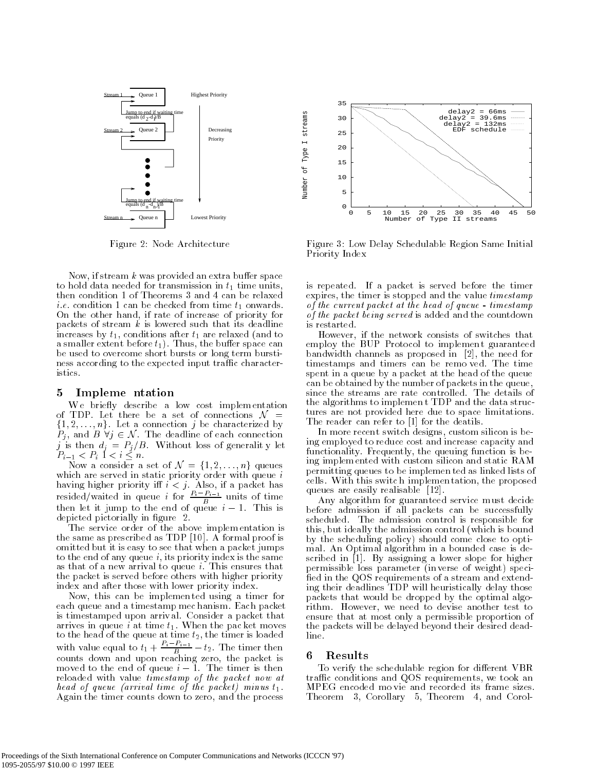

Figure 2: Node Architecture

Now, if stream  $k$  was provided an extra buffer space to hold data needed for transmission in  $t_1$  time units then condition 1 of Theorems 3 and 4 can be relaxed *i.e.* condition 1 can be checked from time  $t_1$  onwards. On the other hand, if rate of increase of priority for packets of stream  $k$  is lowered such that its deadline increases by  $t_1$ , conditions after  $t_1$  are relaxed (and to a smaller extent before  $t_1$ ). Thus, the buffer space can be used to overcome short bursts or long term burstiness according to the expected input traffic characteristics.

#### 5 Impleme ntation

We briefly describe a low cost implementation of TDP. Let there be a set of connections  $\mathcal{N}$  =  $\{1, 2, \ldots, n\}$ . Let a connection j be characterized by of TDP. Let there be a set of connections  $\mathcal{N} = \{1, 2, ..., n\}$ . Let a connection j be characterized by  $P_i$ , and  $B \forall j \in \mathcal{N}$ . The deadline of each connection  $P_{i-1} < P_i$  1  $*.*$ 

Now a consider a set of  $\mathcal{N} = \{1, 2, \ldots, n\}$  queues which are served in static priority order with queue  $i$ resided/waited in queue *i* for  $\frac{P_i - P_{i-1}}{B}$  units of time then let it jump to the end of queue  $i - 1$ . This is depicted pictorially in figure 2.

The service order of the above implem entation is the same as prescribed as TDP [10]. A formal proof is omitted but it is easy to see that when a packet jumps to the end of any queue  $i$ , its priority index is the same as that of a new arrival to queue i. This ensures that the packet is served before others with higher priority index and after those with lower priority index.

Now, this can be implemen ted using a timer for each queue and a timestamp mec hanism. Each packet is timestamped upon arriv al. Consider a packet that arrives in queue i at time  $t_1$ . When the packet moves to the head of the queue at time  $t_2$ , the timer is loaded with value equal to  $t_1 + \frac{P_i - P_{i-1}}{B} - t_2$ . The timer then counts down and upon reaching zero, the packet is moved to the end of queue  $i - 1$ . The timer is then reloaded with value timestamp of the packet now at head of queue (arrival time of the packet) minus t1. Again the timer counts down to zero, and the process



Number of Type I streams

Number of

Type I streams

Figure 3: Low Delay Schedulable Region Same Initial Priority Index

is repeated. If a packet is served before the timer expires, the timer is stopped and the value timestamp of the current packet at the head of queue - timestamp of the packet being served is added and the countdown is restarted.

However, if the network consists of switches that employ the BUP Protocol to implemen t guaranteed bandwidth channels as proposed in [2], the need for timestamps and timers can be remo ved. The time spent in a queue by a packet at the head of the queue can be obtained by the number of packets in the queue, since the streams are rate controlled. The details of the algorithms to implemen t TDP and the data structures are not provided here due to space limitations. The reader can refer to [1] for the deatils.

In more recent switch designs, custom silicon is being employed to reduce cost and increase capacity and functionality. Frequently, the queuing function is being implem ented with custom silicon and static RAM permitting queues to be implemen ted as linked lists of cells. With this switc h implemen tation, the proposed queues are easily realisable [12].

Any algorithm for guaranteed service must decide before admission if all packets can be successfully scheduled. The admission control is responsible for this, but ideally the admission control (which is bound by the scheduling policy) should come close to optimal. An Optimal algorithm in a bounded case is described in [1]. By assigning a lower slope for higher permissible loss parameter (in verse of weight) speci fied in the QOS requirements of a stream and extending their deadlines TDP will heuristically delay those packets that would be dropped by the optimal algorithm. However, we need to devise another test to ensure that at most only a permissible proportion of the packets will be delayed beyond their desired deadline.

#### **Results** 6

To verify the schedulable region for different VBR traffic conditions and QOS requirements, we took an MPEG encoded mo vie and recorded its frame sizes. Theorem 3, Corollary 5, Theorem 4, and Corol-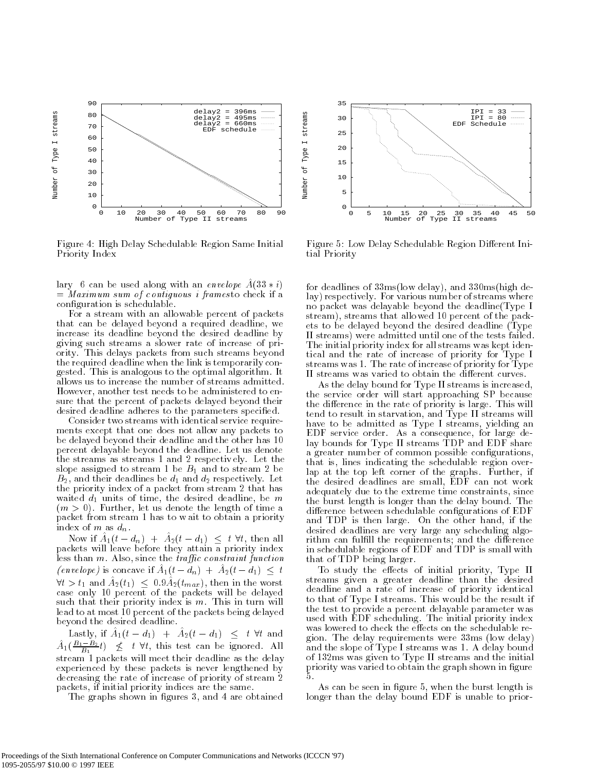

Figure 4: High Delay Schedulable Region Same Initial Priority Index

lary 6 can be used along with an envelope  $A(33 * i)$  $=$  Maximum sum of contiguous i framesto check if a conguration is schedulable.

For a stream with an allowable percent of packets that can be delayed beyond a required deadline, we increase its deadline beyond the desired deadline by giving such streams a slower rate of increase of priority. This delays packets from such streams beyond the required deadline when the link is temporarily congested. This is analogous to the optimal algorithm. It allows us to increase the number of streams admitted. However, another test needs to be administered to ensure that the percent of packets delayed beyond their desired deadline adheres to the parameters specified.

Consider two streams with identical service requirements except that one does not allow any packets to be delayed beyond their deadline and the other has 10 percent delayable beyond the deadline. Let us denote the streams as streams 1 and 2 respectiv ely. Let the slope assigned to stream 1 be  $B_1$  and to stream 2 be  $B_2$ , and their deadlines be  $d_1$  and  $d_2$  respectively. Let the priority index of a packet from stream 2 that has waited  $d_1$  units of time, the desired deadline, be m  $(m > 0)$ . Further, let us denote the length of time a packet from stream 1 has to w ait to obtain a priority index of  $m$  as  $d_n$ .

Now if  $A_1(t - d_n)$  +  $A_2(t - d_1)$  <  $t \forall t$ , then all packets will leave before they attain a priority index less than  $m$ . Also, since the *traffic* constraint function (envelope) is concave if  $A_1(t - d_n) + A_2(t - d_1) \leq t$  $\forall t > t_1$  and  $A_2(t_1) < 0.9A_2(t_{max})$ , then in the worst case only 10 percent of the packets will be delayed such that their priority index is  $m$ . This in turn will lead to at most 10 percent of the packets being delayed beyond the desired deadline. The desired deadline is desired deadline. The desired deadline is desired deadlin

Lastly, if  $A_1(t - d_1) + A_2(t - d_1) \leq t \forall t$  and  $A_1(\frac{B_1-B_2}{B_1}t) \leq t \forall t$ , this test can be ignored. All stream 1 packets will meet their deadline as the delay experienced by these packets is never lengthened by decreasing the rate of increase of priority of stream 2 packets, if initial priority indices are the same.

The graphs shown in figures 3, and 4 are obtained



Figure 5: Low Delay Schedulable Region Different Initial Priority

for deadlines of 33ms(low delay), and 330ms(high delay) respectively. For various number of streams where no packet was delayable beyond the deadline(Type I stream), streams that allo wed 10 percent of the packets to be delayed beyond the desired deadline (Type II streams) were admitted until one of the tests failed. The initial priority index for all streams was kept identical and the rate of increase of priority for Type I streams was 1. The rate of increase of priority for Type II streams was varied to obtain the different curves.

As the delay bound for Type II streams is increased, the service order will start approaching SP because the difference in the rate of priority is large. This will tend to result in starvation, and Type II streams will have to be admitted as Type I streams, yielding an EDF service order. As a consequence, for large delay bounds for Type II streams TDP and EDF share a greater number of common possible configurations, that is, lines indicating the schedulable region overlap at the top left corner of the graphs. Further, if the desired deadlines are small, EDF can not work adequately due to the extreme time constrain ts, since the burst length is longer than the delay bound. The difference between schedulable configurations of EDF and TDP is then large. On the other hand, if the desired deadlines are very large any scheduling algorithm can fulfill the requirements; and the difference in schedulable regions of EDF and TDP is small with that of TDP being larger.

To study the effects of initial priority, Type II streams given a greater deadline than the desired deadline and a rate of increase of priority identical to that of Type I streams. This would be the result if the test to provide a percent delayable parameter was used with EDF scheduling. The initial priority index was lowered to check the effects on the schedulable region. The delay requirements were 33ms (low delay) and the slope of Type I streams was 1. A delay bound of 132ms was given to Type II streams and the initial priority was varied to obtain the graph shown in figure .5.

As can be seen in figure 5, when the burst length is longer than the delay bound EDF is unable to prior